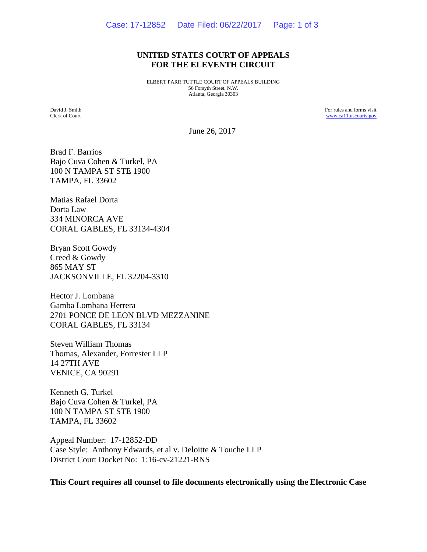#### **UNITED STATES COURT OF APPEALS FOR THE ELEVENTH CIRCUIT**

ELBERT PARR TUTTLE COURT OF APPEALS BUILDING 56 Forsyth Street, N.W. Atlanta, Georgia 30303

David J. Smith Clerk of Court For rules and forms visit [www.ca11.uscourts.gov](http://www.ca11.uscourts.gov/)

June 26, 2017

Brad F. Barrios Bajo Cuva Cohen & Turkel, PA 100 N TAMPA ST STE 1900 TAMPA, FL 33602

Matias Rafael Dorta Dorta Law 334 MINORCA AVE CORAL GABLES, FL 33134-4304

Bryan Scott Gowdy Creed & Gowdy 865 MAY ST JACKSONVILLE, FL 32204-3310

Hector J. Lombana Gamba Lombana Herrera 2701 PONCE DE LEON BLVD MEZZANINE CORAL GABLES, FL 33134

Steven William Thomas Thomas, Alexander, Forrester LLP 14 27TH AVE VENICE, CA 90291

Kenneth G. Turkel Bajo Cuva Cohen & Turkel, PA 100 N TAMPA ST STE 1900 TAMPA, FL 33602

Appeal Number: 17-12852-DD Case Style: Anthony Edwards, et al v. Deloitte & Touche LLP District Court Docket No: 1:16-cv-21221-RNS

**This Court requires all counsel to file documents electronically using the Electronic Case**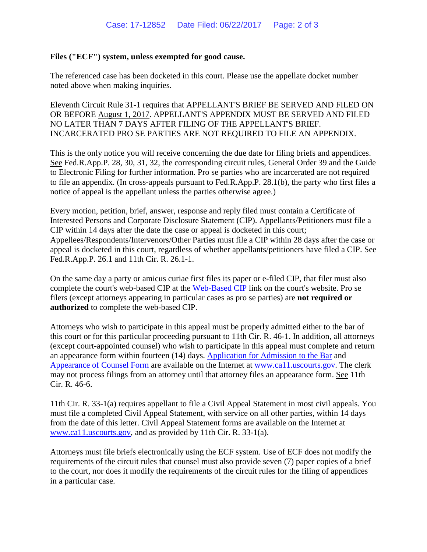#### **Files ("ECF") system, unless exempted for good cause.**

The referenced case has been docketed in this court. Please use the appellate docket number noted above when making inquiries.

Eleventh Circuit Rule 31-1 requires that APPELLANT'S BRIEF BE SERVED AND FILED ON OR BEFORE August 1, 2017. APPELLANT'S APPENDIX MUST BE SERVED AND FILED NO LATER THAN 7 DAYS AFTER FILING OF THE APPELLANT'S BRIEF. INCARCERATED PRO SE PARTIES ARE NOT REQUIRED TO FILE AN APPENDIX.

This is the only notice you will receive concerning the due date for filing briefs and appendices. See Fed.R.App.P. 28, 30, 31, 32, the corresponding circuit rules, General Order 39 and the Guide to Electronic Filing for further information. Pro se parties who are incarcerated are not required to file an appendix. (In cross-appeals pursuant to Fed.R.App.P. 28.1(b), the party who first files a notice of appeal is the appellant unless the parties otherwise agree.)

Every motion, petition, brief, answer, response and reply filed must contain a Certificate of Interested Persons and Corporate Disclosure Statement (CIP). Appellants/Petitioners must file a CIP within 14 days after the date the case or appeal is docketed in this court; Appellees/Respondents/Intervenors/Other Parties must file a CIP within 28 days after the case or appeal is docketed in this court, regardless of whether appellants/petitioners have filed a CIP. See Fed.R.App.P. 26.1 and 11th Cir. R. 26.1-1.

On the same day a party or amicus curiae first files its paper or e-filed CIP, that filer must also complete the court's web-based CIP at the [Web-Based CIP](http://www.ca11.uscourts.gov/web-based-cip) link on the court's website. Pro se filers (except attorneys appearing in particular cases as pro se parties) are **not required or authorized** to complete the web-based CIP.

Attorneys who wish to participate in this appeal must be properly admitted either to the bar of this court or for this particular proceeding pursuant to 11th Cir. R. 46-1. In addition, all attorneys (except court-appointed counsel) who wish to participate in this appeal must complete and return an appearance form within fourteen (14) days. [Application for Admission to the Bar](http://www.ca11.uscourts.gov/sites/default/files/courtdocs/clk/FormBarAdmissionAPR14.pdf) and [Appearance of Counsel Form](http://www.ca11.uscourts.gov/forms-information) are available on the Internet at [www.ca11.uscourts.gov.](http://www.ca11.uscourts.gov/) The clerk may not process filings from an attorney until that attorney files an appearance form. See 11th Cir. R. 46-6.

11th Cir. R. 33-1(a) requires appellant to file a Civil Appeal Statement in most civil appeals. You must file a completed Civil Appeal Statement, with service on all other parties, within 14 days from the date of this letter. Civil Appeal Statement forms are available on the Internet at [www.ca11.uscourts.gov,](http://www.ca11.uscourts.gov/) and as provided by 11th Cir. R. 33-1(a).

Attorneys must file briefs electronically using the ECF system. Use of ECF does not modify the requirements of the circuit rules that counsel must also provide seven (7) paper copies of a brief to the court, nor does it modify the requirements of the circuit rules for the filing of appendices in a particular case.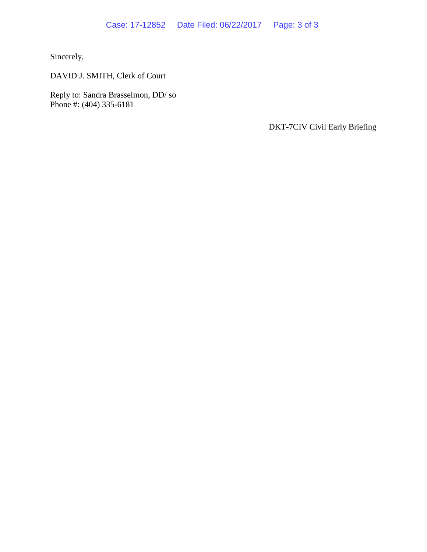Sincerely,

DAVID J. SMITH, Clerk of Court

Reply to: Sandra Brasselmon, DD/ so Phone #: (404) 335-6181

DKT-7CIV Civil Early Briefing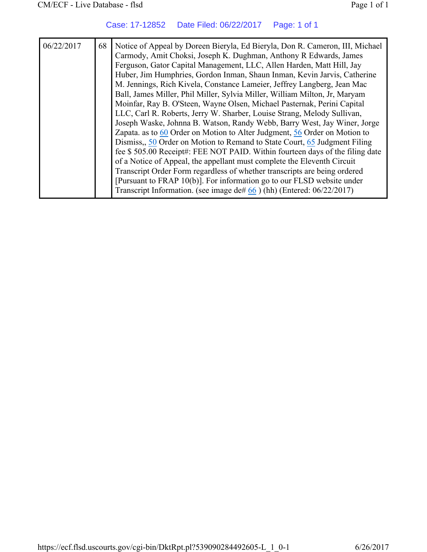Case: 17-12852 Date Filed: 06/22/2017 Page: 1 of 1

| 06/22/2017 | 68 | Notice of Appeal by Doreen Bieryla, Ed Bieryla, Don R. Cameron, III, Michael<br>Carmody, Amit Choksi, Joseph K. Dughman, Anthony R Edwards, James<br>Ferguson, Gator Capital Management, LLC, Allen Harden, Matt Hill, Jay<br>Huber, Jim Humphries, Gordon Inman, Shaun Inman, Kevin Jarvis, Catherine<br>M. Jennings, Rich Kivela, Constance Lameier, Jeffrey Langberg, Jean Mac<br>Ball, James Miller, Phil Miller, Sylvia Miller, William Milton, Jr, Maryam<br>Moinfar, Ray B. O'Steen, Wayne Olsen, Michael Pasternak, Perini Capital<br>LLC, Carl R. Roberts, Jerry W. Sharber, Louise Strang, Melody Sullivan,<br>Joseph Waske, Johnna B. Watson, Randy Webb, Barry West, Jay Winer, Jorge<br>Zapata. as to 60 Order on Motion to Alter Judgment, 56 Order on Motion to<br>Dismiss, 50 Order on Motion to Remand to State Court, 65 Judgment Filing<br>fee \$505.00 Receipt#: FEE NOT PAID. Within fourteen days of the filing date<br>of a Notice of Appeal, the appellant must complete the Eleventh Circuit<br>Transcript Order Form regardless of whether transcripts are being ordered<br>[Pursuant to FRAP 10(b)]. For information go to our FLSD website under |
|------------|----|------------------------------------------------------------------------------------------------------------------------------------------------------------------------------------------------------------------------------------------------------------------------------------------------------------------------------------------------------------------------------------------------------------------------------------------------------------------------------------------------------------------------------------------------------------------------------------------------------------------------------------------------------------------------------------------------------------------------------------------------------------------------------------------------------------------------------------------------------------------------------------------------------------------------------------------------------------------------------------------------------------------------------------------------------------------------------------------------------------------------------------------------------------------------------|
|            |    | Transcript Information. (see image de# $66$ ) (hh) (Entered: $06/22/2017$ )                                                                                                                                                                                                                                                                                                                                                                                                                                                                                                                                                                                                                                                                                                                                                                                                                                                                                                                                                                                                                                                                                                  |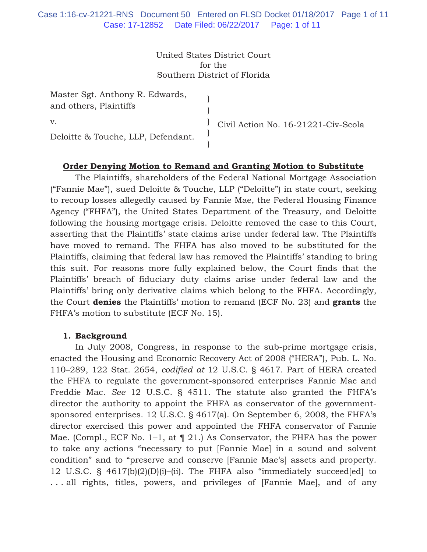United States District Court for the Southern District of Florida

| Master Sgt. Anthony R. Edwards,<br>and others, Plaintiffs |                                     |
|-----------------------------------------------------------|-------------------------------------|
| V.                                                        | Civil Action No. 16-21221-Civ-Scola |
| Deloitte & Touche, LLP, Defendant.                        |                                     |

# **Order Denying Motion to Remand and Granting Motion to Substitute**

The Plaintiffs, shareholders of the Federal National Mortgage Association ("Fannie Mae"), sued Deloitte & Touche, LLP ("Deloitte") in state court, seeking to recoup losses allegedly caused by Fannie Mae, the Federal Housing Finance Agency ("FHFA"), the United States Department of the Treasury, and Deloitte following the housing mortgage crisis. Deloitte removed the case to this Court, asserting that the Plaintiffs' state claims arise under federal law. The Plaintiffs have moved to remand. The FHFA has also moved to be substituted for the Plaintiffs, claiming that federal law has removed the Plaintiffs' standing to bring this suit. For reasons more fully explained below, the Court finds that the Plaintiffs' breach of fiduciary duty claims arise under federal law and the Plaintiffs' bring only derivative claims which belong to the FHFA. Accordingly, the Court **denies** the Plaintiffs' motion to remand (ECF No. 23) and **grants** the FHFA's motion to substitute (ECF No. 15).

#### **1. Background**

In July 2008, Congress, in response to the sub-prime mortgage crisis, enacted the Housing and Economic Recovery Act of 2008 ("HERA"), Pub. L. No. 110–289, 122 Stat. 2654, *codified at* 12 U.S.C. § 4617. Part of HERA created the FHFA to regulate the government-sponsored enterprises Fannie Mae and Freddie Mac. *See* 12 U.S.C. § 4511. The statute also granted the FHFA's director the authority to appoint the FHFA as conservator of the governmentsponsored enterprises. 12 U.S.C. § 4617(a). On September 6, 2008, the FHFA's director exercised this power and appointed the FHFA conservator of Fannie Mae. (Compl., ECF No. 1–1, at  $\P$  21.) As Conservator, the FHFA has the power to take any actions "necessary to put [Fannie Mae] in a sound and solvent condition" and to "preserve and conserve [Fannie Mae's] assets and property. 12 U.S.C. § 4617(b)(2)(D)(i)–(ii). The FHFA also "immediately succeed[ed] to . . . all rights, titles, powers, and privileges of [Fannie Mae], and of any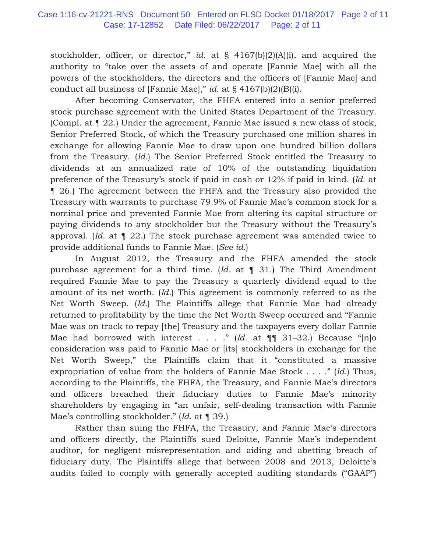stockholder, officer, or director," *id.* at § 4167(b)(2)(A)(i), and acquired the authority to "take over the assets of and operate [Fannie Mae] with all the powers of the stockholders, the directors and the officers of [Fannie Mae] and conduct all business of [Fannie Mae]," *id.* at § 4167(b)(2)(B)(i).

 After becoming Conservator, the FHFA entered into a senior preferred stock purchase agreement with the United States Department of the Treasury. (Compl. at ¶ 22.) Under the agreement, Fannie Mae issued a new class of stock, Senior Preferred Stock, of which the Treasury purchased one million shares in exchange for allowing Fannie Mae to draw upon one hundred billion dollars from the Treasury. (*Id.*) The Senior Preferred Stock entitled the Treasury to dividends at an annualized rate of 10% of the outstanding liquidation preference of the Treasury's stock if paid in cash or 12% if paid in kind. (*Id.* at ¶ 26.) The agreement between the FHFA and the Treasury also provided the Treasury with warrants to purchase 79.9% of Fannie Mae's common stock for a nominal price and prevented Fannie Mae from altering its capital structure or paying dividends to any stockholder but the Treasury without the Treasury's approval. (*Id.* at ¶ 22.) The stock purchase agreement was amended twice to provide additional funds to Fannie Mae. (*See id.*)

 In August 2012, the Treasury and the FHFA amended the stock purchase agreement for a third time. (*Id.* at ¶ 31.) The Third Amendment required Fannie Mae to pay the Treasury a quarterly dividend equal to the amount of its net worth. (*Id.*) This agreement is commonly referred to as the Net Worth Sweep. (*Id.*) The Plaintiffs allege that Fannie Mae had already returned to profitability by the time the Net Worth Sweep occurred and "Fannie Mae was on track to repay [the] Treasury and the taxpayers every dollar Fannie Mae had borrowed with interest . . . ." (Id. at  $\P\P$  31-32.) Because "[n]o consideration was paid to Fannie Mae or [its] stockholders in exchange for the Net Worth Sweep," the Plaintiffs claim that it "constituted a massive expropriation of value from the holders of Fannie Mae Stock . . . ." (*Id.*) Thus, according to the Plaintiffs, the FHFA, the Treasury, and Fannie Mae's directors and officers breached their fiduciary duties to Fannie Mae's minority shareholders by engaging in "an unfair, self-dealing transaction with Fannie Mae's controlling stockholder." (*Id.* at ¶ 39.)

 Rather than suing the FHFA, the Treasury, and Fannie Mae's directors and officers directly, the Plaintiffs sued Deloitte, Fannie Mae's independent auditor, for negligent misrepresentation and aiding and abetting breach of fiduciary duty. The Plaintiffs allege that between 2008 and 2013, Deloitte's audits failed to comply with generally accepted auditing standards ("GAAP")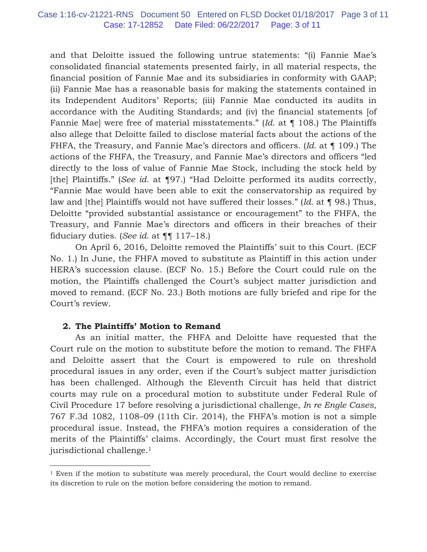and that Deloitte issued the following untrue statements: "(i) Fannie Mae's consolidated financial statements presented fairly, in all material respects, the financial position of Fannie Mae and its subsidiaries in conformity with GAAP; (ii) Fannie Mae has a reasonable basis for making the statements contained in its Independent Auditors' Reports; (iii) Fannie Mae conducted its audits in accordance with the Auditing Standards; and (iv) the financial statements [of Fannie Mae] were free of material misstatements." (*Id.* at ¶ 108.) The Plaintiffs also allege that Deloitte failed to disclose material facts about the actions of the FHFA, the Treasury, and Fannie Mae's directors and officers. (*Id.* at ¶ 109.) The actions of the FHFA, the Treasury, and Fannie Mae's directors and officers "led directly to the loss of value of Fannie Mae Stock, including the stock held by [the] Plaintiffs." (*See id.* at ¶97.) "Had Deloitte performed its audits correctly, "Fannie Mae would have been able to exit the conservatorship as required by law and [the] Plaintiffs would not have suffered their losses." (*Id.* at ¶ 98.) Thus, Deloitte "provided substantial assistance or encouragement" to the FHFA, the Treasury, and Fannie Mae's directors and officers in their breaches of their fiduciary duties. (*See id.* at ¶¶ 117–18.)

 On April 6, 2016, Deloitte removed the Plaintiffs' suit to this Court. (ECF No. 1.) In June, the FHFA moved to substitute as Plaintiff in this action under HERA's succession clause. (ECF No. 15.) Before the Court could rule on the motion, the Plaintiffs challenged the Court's subject matter jurisdiction and moved to remand. (ECF No. 23.) Both motions are fully briefed and ripe for the Court's review.

### **2. The Plaintiffs' Motion to Remand**

As an initial matter, the FHFA and Deloitte have requested that the Court rule on the motion to substitute before the motion to remand. The FHFA and Deloitte assert that the Court is empowered to rule on threshold procedural issues in any order, even if the Court's subject matter jurisdiction has been challenged. Although the Eleventh Circuit has held that district courts may rule on a procedural motion to substitute under Federal Rule of Civil Procedure 17 before resolving a jurisdictional challenge, *In re Engle Cases*, 767 F.3d 1082, 1108–09 (11th Cir. 2014), the FHFA's motion is not a simple procedural issue. Instead, the FHFA's motion requires a consideration of the merits of the Plaintiffs' claims. Accordingly, the Court must first resolve the jurisdictional challenge.1

<sup>&</sup>lt;sup>1</sup> Even if the motion to substitute was merely procedural, the Court would decline to exercise its discretion to rule on the motion before considering the motion to remand.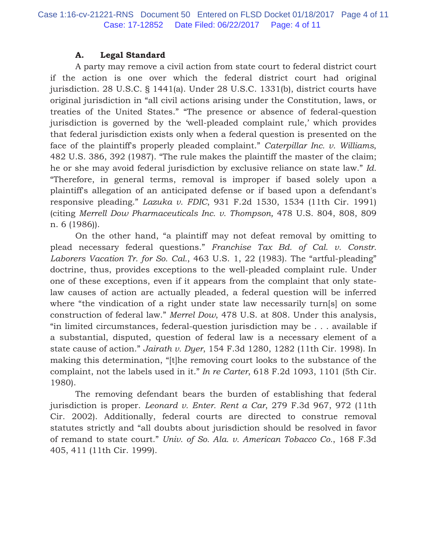# **A. Legal Standard**

A party may remove a civil action from state court to federal district court if the action is one over which the federal district court had original jurisdiction. 28 U.S.C. § 1441(a). Under 28 U.S.C. 1331(b), district courts have original jurisdiction in "all civil actions arising under the Constitution, laws, or treaties of the United States." "The presence or absence of federal-question jurisdiction is governed by the 'well-pleaded complaint rule,' which provides that federal jurisdiction exists only when a federal question is presented on the face of the plaintiff's properly pleaded complaint." *Caterpillar Inc. v. Williams*, 482 U.S. 386, 392 (1987). "The rule makes the plaintiff the master of the claim; he or she may avoid federal jurisdiction by exclusive reliance on state law." *Id.* "Therefore, in general terms, removal is improper if based solely upon a plaintiff's allegation of an anticipated defense or if based upon a defendant's responsive pleading." *Lazuka v. FDIC*, 931 F.2d 1530, 1534 (11th Cir. 1991) (citing *Merrell Dow Pharmaceuticals Inc. v. Thompson,* 478 U.S. 804, 808, 809 n. 6 (1986)).

On the other hand, "a plaintiff may not defeat removal by omitting to plead necessary federal questions." *Franchise Tax Bd. of Cal. v. Constr. Laborers Vacation Tr. for So. Cal.*, 463 U.S. 1, 22 (1983). The "artful-pleading" doctrine, thus, provides exceptions to the well-pleaded complaint rule. Under one of these exceptions, even if it appears from the complaint that only statelaw causes of action are actually pleaded, a federal question will be inferred where "the vindication of a right under state law necessarily turn[s] on some construction of federal law." *Merrel Dow*, 478 U.S. at 808. Under this analysis, "in limited circumstances, federal-question jurisdiction may be . . . available if a substantial, disputed, question of federal law is a necessary element of a state cause of action." *Jairath v. Dyer*, 154 F.3d 1280, 1282 (11th Cir. 1998). In making this determination, "[t]he removing court looks to the substance of the complaint, not the labels used in it." *In re Carter*, 618 F.2d 1093, 1101 (5th Cir. 1980).

The removing defendant bears the burden of establishing that federal jurisdiction is proper. *Leonard v. Enter. Rent a Car*, 279 F.3d 967, 972 (11th Cir. 2002). Additionally, federal courts are directed to construe removal statutes strictly and "all doubts about jurisdiction should be resolved in favor of remand to state court." *Univ. of So. Ala. v. American Tobacco Co.*, 168 F.3d 405, 411 (11th Cir. 1999).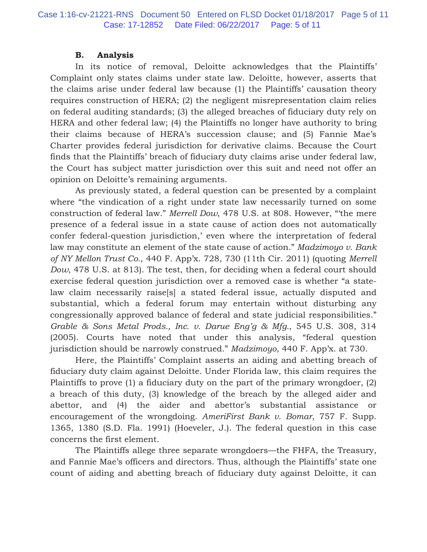### **B. Analysis**

In its notice of removal, Deloitte acknowledges that the Plaintiffs' Complaint only states claims under state law. Deloitte, however, asserts that the claims arise under federal law because (1) the Plaintiffs' causation theory requires construction of HERA; (2) the negligent misrepresentation claim relies on federal auditing standards; (3) the alleged breaches of fiduciary duty rely on HERA and other federal law; (4) the Plaintiffs no longer have authority to bring their claims because of HERA's succession clause; and (5) Fannie Mae's Charter provides federal jurisdiction for derivative claims. Because the Court finds that the Plaintiffs' breach of fiduciary duty claims arise under federal law, the Court has subject matter jurisdiction over this suit and need not offer an opinion on Deloitte's remaining arguments.

As previously stated, a federal question can be presented by a complaint where "the vindication of a right under state law necessarily turned on some construction of federal law." *Merrell Dow*, 478 U.S. at 808. However, "'the mere presence of a federal issue in a state cause of action does not automatically confer federal-question jurisdiction,' even where the interpretation of federal law may constitute an element of the state cause of action." *Madzimoyo v. Bank of NY Mellon Trust Co.*, 440 F. App'x. 728, 730 (11th Cir. 2011) (quoting *Merrell Dow*, 478 U.S. at 813). The test, then, for deciding when a federal court should exercise federal question jurisdiction over a removed case is whether "a statelaw claim necessarily raise[s] a stated federal issue, actually disputed and substantial, which a federal forum may entertain without disturbing any congressionally approved balance of federal and state judicial responsibilities." *Grable & Sons Metal Prods., Inc. v. Darue Eng'g & Mfg.*, 545 U.S. 308, 314 (2005). Courts have noted that under this analysis, "federal question jurisdiction should be narrowly construed." *Madzimoyo*, 440 F. App'x. at 730.

Here, the Plaintiffs' Complaint asserts an aiding and abetting breach of fiduciary duty claim against Deloitte. Under Florida law, this claim requires the Plaintiffs to prove (1) a fiduciary duty on the part of the primary wrongdoer, (2) a breach of this duty, (3) knowledge of the breach by the alleged aider and abettor, and (4) the aider and abettor's substantial assistance or encouragement of the wrongdoing. *AmeriFirst Bank v. Bomar*, 757 F. Supp. 1365, 1380 (S.D. Fla. 1991) (Hoeveler, J.). The federal question in this case concerns the first element.

The Plaintiffs allege three separate wrongdoers––the FHFA, the Treasury, and Fannie Mae's officers and directors. Thus, although the Plaintiffs' state one count of aiding and abetting breach of fiduciary duty against Deloitte, it can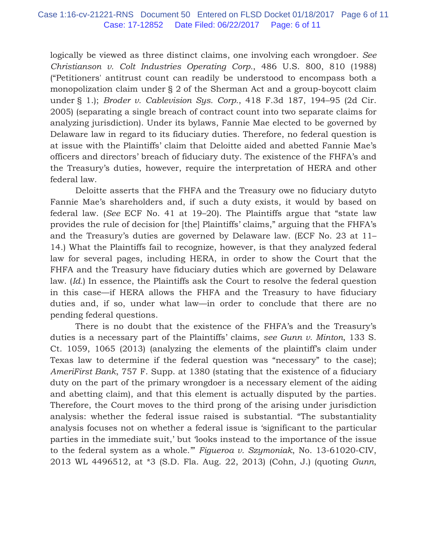logically be viewed as three distinct claims, one involving each wrongdoer. *See Christianson v. Colt Industries Operating Corp.*, 486 U.S. 800, 810 (1988) ("Petitioners' antitrust count can readily be understood to encompass both a monopolization claim under § 2 of the Sherman Act and a group-boycott claim under § 1.); *Broder v. Cablevision Sys. Corp.*, 418 F.3d 187, 194–95 (2d Cir. 2005) (separating a single breach of contract count into two separate claims for analyzing jurisdiction). Under its bylaws, Fannie Mae elected to be governed by Delaware law in regard to its fiduciary duties. Therefore, no federal question is at issue with the Plaintiffs' claim that Deloitte aided and abetted Fannie Mae's officers and directors' breach of fiduciary duty. The existence of the FHFA's and the Treasury's duties, however, require the interpretation of HERA and other federal law.

Deloitte asserts that the FHFA and the Treasury owe no fiduciary dutyto Fannie Mae's shareholders and, if such a duty exists, it would by based on federal law. (*See* ECF No. 41 at 19–20). The Plaintiffs argue that "state law provides the rule of decision for [the] Plaintiffs' claims," arguing that the FHFA's and the Treasury's duties are governed by Delaware law. (ECF No. 23 at 11– 14.) What the Plaintiffs fail to recognize, however, is that they analyzed federal law for several pages, including HERA, in order to show the Court that the FHFA and the Treasury have fiduciary duties which are governed by Delaware law. (*Id.*) In essence, the Plaintiffs ask the Court to resolve the federal question in this case––if HERA allows the FHFA and the Treasury to have fiduciary duties and, if so, under what law—in order to conclude that there are no pending federal questions.

There is no doubt that the existence of the FHFA's and the Treasury's duties is a necessary part of the Plaintiffs' claims, *see Gunn v. Minton*, 133 S. Ct. 1059, 1065 (2013) (analyzing the elements of the plaintiff's claim under Texas law to determine if the federal question was "necessary" to the case); *AmeriFirst Bank*, 757 F. Supp. at 1380 (stating that the existence of a fiduciary duty on the part of the primary wrongdoer is a necessary element of the aiding and abetting claim), and that this element is actually disputed by the parties. Therefore, the Court moves to the third prong of the arising under jurisdiction analysis: whether the federal issue raised is substantial. "The substantiality analysis focuses not on whether a federal issue is 'significant to the particular parties in the immediate suit,' but 'looks instead to the importance of the issue to the federal system as a whole.'" *Figueroa v. Szymoniak*, No. 13-61020-CIV, 2013 WL 4496512, at \*3 (S.D. Fla. Aug. 22, 2013) (Cohn, J.) (quoting *Gunn*,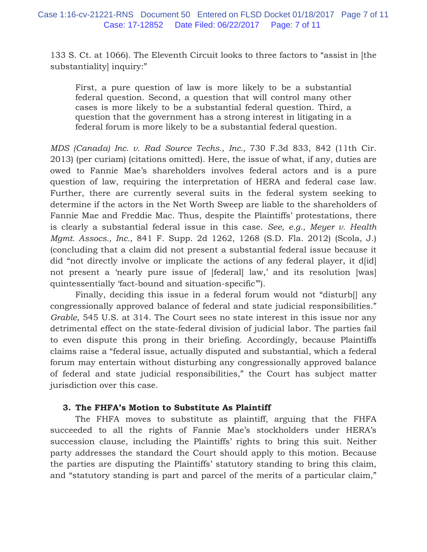133 S. Ct. at 1066). The Eleventh Circuit looks to three factors to "assist in [the substantiality] inquiry:"

First, a pure question of law is more likely to be a substantial federal question. Second, a question that will control many other cases is more likely to be a substantial federal question. Third, a question that the government has a strong interest in litigating in a federal forum is more likely to be a substantial federal question.

*MDS (Canada) Inc. v. Rad Source Techs., Inc.,* 730 F.3d 833, 842 (11th Cir. 2013) (per curiam) (citations omitted). Here, the issue of what, if any, duties are owed to Fannie Mae's shareholders involves federal actors and is a pure question of law, requiring the interpretation of HERA and federal case law. Further, there are currently several suits in the federal system seeking to determine if the actors in the Net Worth Sweep are liable to the shareholders of Fannie Mae and Freddie Mac. Thus, despite the Plaintiffs' protestations, there is clearly a substantial federal issue in this case. *See, e.g.*, *Meyer v. Health Mgmt. Assocs., Inc.*, 841 F. Supp. 2d 1262, 1268 (S.D. Fla. 2012) (Scola, J.) (concluding that a claim did not present a substantial federal issue because it did "not directly involve or implicate the actions of any federal player, it d[id] not present a 'nearly pure issue of [federal] law,' and its resolution [was] quintessentially 'fact-bound and situation-specific'").

 Finally, deciding this issue in a federal forum would not "disturb[] any congressionally approved balance of federal and state judicial responsibilities." *Grable*, 545 U.S. at 314. The Court sees no state interest in this issue nor any detrimental effect on the state-federal division of judicial labor. The parties fail to even dispute this prong in their briefing. Accordingly, because Plaintiffs claims raise a "federal issue, actually disputed and substantial, which a federal forum may entertain without disturbing any congressionally approved balance of federal and state judicial responsibilities," the Court has subject matter jurisdiction over this case.

### **3. The FHFA's Motion to Substitute As Plaintiff**

The FHFA moves to substitute as plaintiff, arguing that the FHFA succeeded to all the rights of Fannie Mae's stockholders under HERA's succession clause, including the Plaintiffs' rights to bring this suit. Neither party addresses the standard the Court should apply to this motion. Because the parties are disputing the Plaintiffs' statutory standing to bring this claim, and "statutory standing is part and parcel of the merits of a particular claim,"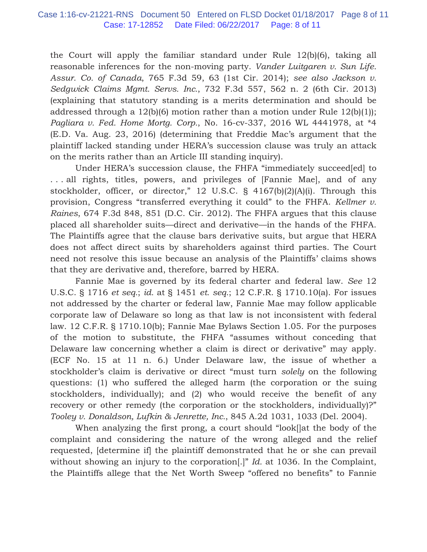the Court will apply the familiar standard under Rule 12(b)(6), taking all reasonable inferences for the non-moving party. *Vander Luitgaren v. Sun Life. Assur. Co. of Canada*, 765 F.3d 59, 63 (1st Cir. 2014); *see also Jackson v. Sedgwick Claims Mgmt. Servs. Inc.*, 732 F.3d 557, 562 n. 2 (6th Cir. 2013) (explaining that statutory standing is a merits determination and should be addressed through a  $12(b)(6)$  motion rather than a motion under Rule  $12(b)(1)$ ; *Pagliara v. Fed. Home Mortg. Corp.*, No. 16-cv-337, 2016 WL 4441978, at \*4 (E.D. Va. Aug. 23, 2016) (determining that Freddie Mac's argument that the plaintiff lacked standing under HERA's succession clause was truly an attack on the merits rather than an Article III standing inquiry).

Under HERA's succession clause, the FHFA "immediately succeed[ed] to . . . all rights, titles, powers, and privileges of [Fannie Mae], and of any stockholder, officer, or director," 12 U.S.C. § 4167(b)(2)(A)(i). Through this provision, Congress "transferred everything it could" to the FHFA. *Kellmer v. Raines*, 674 F.3d 848, 851 (D.C. Cir. 2012). The FHFA argues that this clause placed all shareholder suits––direct and derivative––in the hands of the FHFA. The Plaintiffs agree that the clause bars derivative suits, but argue that HERA does not affect direct suits by shareholders against third parties. The Court need not resolve this issue because an analysis of the Plaintiffs' claims shows that they are derivative and, therefore, barred by HERA.

Fannie Mae is governed by its federal charter and federal law. *See* 12 U.S.C. § 1716 *et seq.*; *id.* at § 1451 *et. seq.*; 12 C.F.R. § 1710.10(a). For issues not addressed by the charter or federal law, Fannie Mae may follow applicable corporate law of Delaware so long as that law is not inconsistent with federal law. 12 C.F.R. § 1710.10(b); Fannie Mae Bylaws Section 1.05. For the purposes of the motion to substitute, the FHFA "assumes without conceding that Delaware law concerning whether a claim is direct or derivative" may apply. (ECF No. 15 at 11 n. 6.) Under Delaware law, the issue of whether a stockholder's claim is derivative or direct "must turn *solely* on the following questions: (1) who suffered the alleged harm (the corporation or the suing stockholders, individually); and (2) who would receive the benefit of any recovery or other remedy (the corporation or the stockholders, individually)?" *Tooley v. Donaldson, Lufkin & Jenrette, Inc.*, 845 A.2d 1031, 1033 (Del. 2004).

When analyzing the first prong, a court should "look[]at the body of the complaint and considering the nature of the wrong alleged and the relief requested, [determine if] the plaintiff demonstrated that he or she can prevail without showing an injury to the corporation[.]" *Id.* at 1036. In the Complaint, the Plaintiffs allege that the Net Worth Sweep "offered no benefits" to Fannie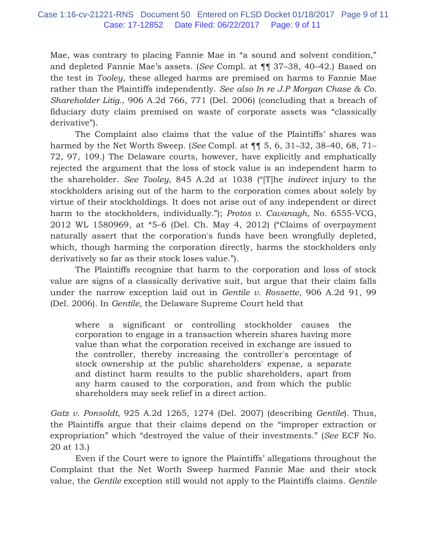Mae, was contrary to placing Fannie Mae in "a sound and solvent condition," and depleted Fannie Mae's assets. (*See* Compl. at ¶¶ 37–38, 40–42.) Based on the test in *Tooley*, these alleged harms are premised on harms to Fannie Mae rather than the Plaintiffs independently. *See also In re J.P Morgan Chase & Co. Shareholder Litig.*, 906 A.2d 766, 771 (Del. 2006) (concluding that a breach of fiduciary duty claim premised on waste of corporate assets was "classically derivative").

The Complaint also claims that the value of the Plaintiffs' shares was harmed by the Net Worth Sweep. (*See* Compl. at ¶¶ 5, 6, 31–32, 38–40, 68, 71– 72, 97, 109.) The Delaware courts, however, have explicitly and emphatically rejected the argument that the loss of stock value is an independent harm to the shareholder. *See Tooley*, 845 A.2d at 1038 ("[T]he *indirect* injury to the stockholders arising out of the harm to the corporation comes about solely by virtue of their stockholdings. It does not arise out of any independent or direct harm to the stockholders, individually."); *Protos v. Cavanagh*, No. 6555-VCG, 2012 WL 1580969, at \*5–6 (Del. Ch. May 4, 2012) ("Claims of overpayment naturally assert that the corporation's funds have been wrongfully depleted, which, though harming the corporation directly, harms the stockholders only derivatively so far as their stock loses value.").

The Plaintiffs recognize that harm to the corporation and loss of stock value are signs of a classically derivative suit, but argue that their claim falls under the narrow exception laid out in *Gentile v. Rossette*, 906 A.2d 91, 99 (Del. 2006). In *Gentile*, the Delaware Supreme Court held that

where a significant or controlling stockholder causes the corporation to engage in a transaction wherein shares having more value than what the corporation received in exchange are issued to the controller, thereby increasing the controller's percentage of stock ownership at the public shareholders' expense, a separate and distinct harm results to the public shareholders, apart from any harm caused to the corporation, and from which the public shareholders may seek relief in a direct action.

*Gatz v. Ponsoldt*, 925 A.2d 1265, 1274 (Del. 2007) (describing *Gentile*). Thus, the Plaintiffs argue that their claims depend on the "improper extraction or expropriation" which "destroyed the value of their investments." (*See* ECF No. 20 at 13.)

 Even if the Court were to ignore the Plaintiffs' allegations throughout the Complaint that the Net Worth Sweep harmed Fannie Mae and their stock value, the *Gentile* exception still would not apply to the Plaintiffs claims. *Gentile*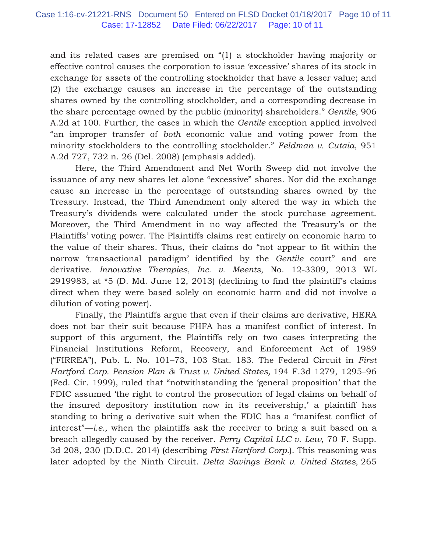and its related cases are premised on "(1) a stockholder having majority or effective control causes the corporation to issue 'excessive' shares of its stock in exchange for assets of the controlling stockholder that have a lesser value; and (2) the exchange causes an increase in the percentage of the outstanding shares owned by the controlling stockholder, and a corresponding decrease in the share percentage owned by the public (minority) shareholders." *Gentile*, 906 A.2d at 100. Further, the cases in which the *Gentile* exception applied involved "an improper transfer of *both* economic value and voting power from the minority stockholders to the controlling stockholder." *Feldman v. Cutaia*, 951 A.2d 727, 732 n. 26 (Del. 2008) (emphasis added).

 Here, the Third Amendment and Net Worth Sweep did not involve the issuance of any new shares let alone "excessive" shares. Nor did the exchange cause an increase in the percentage of outstanding shares owned by the Treasury. Instead, the Third Amendment only altered the way in which the Treasury's dividends were calculated under the stock purchase agreement. Moreover, the Third Amendment in no way affected the Treasury's or the Plaintiffs' voting power. The Plaintiffs claims rest entirely on economic harm to the value of their shares. Thus, their claims do "not appear to fit within the narrow 'transactional paradigm' identified by the *Gentile* court" and are derivative. *Innovative Therapies, Inc. v. Meents*, No. 12-3309, 2013 WL 2919983, at \*5 (D. Md. June 12, 2013) (declining to find the plaintiff's claims direct when they were based solely on economic harm and did not involve a dilution of voting power).

Finally, the Plaintiffs argue that even if their claims are derivative, HERA does not bar their suit because FHFA has a manifest conflict of interest. In support of this argument, the Plaintiffs rely on two cases interpreting the Financial Institutions Reform, Recovery, and Enforcement Act of 1989 ("FIRREA"), Pub. L. No. 101–73, 103 Stat. 183. The Federal Circuit in *First Hartford Corp. Pension Plan & Trust v. United States,* 194 F.3d 1279, 1295–96 (Fed. Cir. 1999), ruled that "notwithstanding the 'general proposition' that the FDIC assumed 'the right to control the prosecution of legal claims on behalf of the insured depository institution now in its receivership,' a plaintiff has standing to bring a derivative suit when the FDIC has a "manifest conflict of interest"—*i.e.,* when the plaintiffs ask the receiver to bring a suit based on a breach allegedly caused by the receiver. *Perry Capital LLC v. Lew*, 70 F. Supp. 3d 208, 230 (D.D.C. 2014) (describing *First Hartford Corp.*). This reasoning was later adopted by the Ninth Circuit. *Delta Savings Bank v. United States,* 265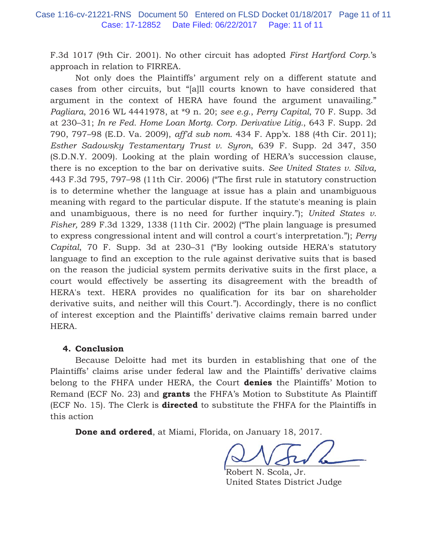F.3d 1017 (9th Cir. 2001). No other circuit has adopted *First Hartford Corp.*'s approach in relation to FIRREA.

Not only does the Plaintiffs' argument rely on a different statute and cases from other circuits, but "[a]ll courts known to have considered that argument in the context of HERA have found the argument unavailing." *Pagliara*, 2016 WL 4441978, at \*9 n. 20; *see e.g.*, *Perry Capital*, 70 F. Supp. 3d at 230–31; *In re Fed. Home Loan Mortg. Corp. Derivative Litig.*, 643 F. Supp. 2d 790, 797–98 (E.D. Va. 2009), *aff'd sub nom.* 434 F. App'x. 188 (4th Cir. 2011); *Esther Sadowsky Testamentary Trust v. Syron*, 639 F. Supp. 2d 347, 350 (S.D.N.Y. 2009). Looking at the plain wording of HERA's succession clause, there is no exception to the bar on derivative suits. *See United States v. Silva,* 443 F.3d 795, 797–98 (11th Cir. 2006) ("The first rule in statutory construction is to determine whether the language at issue has a plain and unambiguous meaning with regard to the particular dispute. If the statute's meaning is plain and unambiguous, there is no need for further inquiry."); *United States v. Fisher,* 289 F.3d 1329, 1338 (11th Cir. 2002) ("The plain language is presumed to express congressional intent and will control a court's interpretation."); *Perry Capital*, 70 F. Supp. 3d at 230–31 ("By looking outside HERA's statutory language to find an exception to the rule against derivative suits that is based on the reason the judicial system permits derivative suits in the first place, a court would effectively be asserting its disagreement with the breadth of HERA's text. HERA provides no qualification for its bar on shareholder derivative suits, and neither will this Court."). Accordingly, there is no conflict of interest exception and the Plaintiffs' derivative claims remain barred under HERA.

### **4. Conclusion**

Because Deloitte had met its burden in establishing that one of the Plaintiffs' claims arise under federal law and the Plaintiffs' derivative claims belong to the FHFA under HERA, the Court **denies** the Plaintiffs' Motion to Remand (ECF No. 23) and **grants** the FHFA's Motion to Substitute As Plaintiff (ECF No. 15). The Clerk is **directed** to substitute the FHFA for the Plaintiffs in this action

**Done and ordered**, at Miami, Florida, on January 18, 2017.

 $\sim$   $\sim$   $\sim$   $\sim$  $\sim$   $\sqrt{2}$   $\sim$   $\sim$ 

Robert N. Scola, Jr. United States District Judge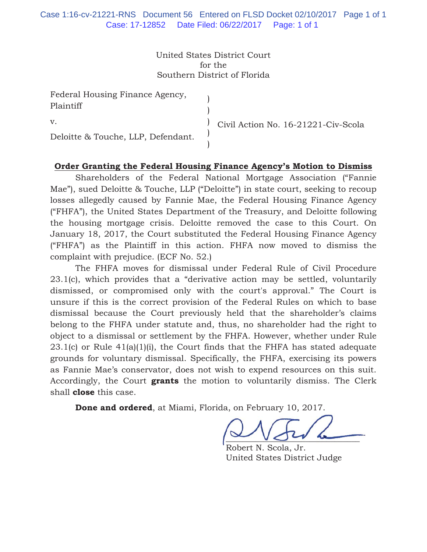United States District Court for the Southern District of Florida

| Federal Housing Finance Agency,<br>Plaintiff |                                     |
|----------------------------------------------|-------------------------------------|
| $V_{\cdot}$                                  | Civil Action No. 16-21221-Civ-Scola |
| Deloitte & Touche, LLP, Defendant.           |                                     |

# **Order Granting the Federal Housing Finance Agency's Motion to Dismiss**

Shareholders of the Federal National Mortgage Association ("Fannie Mae"), sued Deloitte & Touche, LLP ("Deloitte") in state court, seeking to recoup losses allegedly caused by Fannie Mae, the Federal Housing Finance Agency ("FHFA"), the United States Department of the Treasury, and Deloitte following the housing mortgage crisis. Deloitte removed the case to this Court. On January 18, 2017, the Court substituted the Federal Housing Finance Agency ("FHFA") as the Plaintiff in this action. FHFA now moved to dismiss the complaint with prejudice. (ECF No. 52.)

The FHFA moves for dismissal under Federal Rule of Civil Procedure 23.1(c), which provides that a "derivative action may be settled, voluntarily dismissed, or compromised only with the court's approval." The Court is unsure if this is the correct provision of the Federal Rules on which to base dismissal because the Court previously held that the shareholder's claims belong to the FHFA under statute and, thus, no shareholder had the right to object to a dismissal or settlement by the FHFA. However, whether under Rule 23.1(c) or Rule 41(a)(1)(i), the Court finds that the FHFA has stated adequate grounds for voluntary dismissal. Specifically, the FHFA, exercising its powers as Fannie Mae's conservator, does not wish to expend resources on this suit. Accordingly, the Court **grants** the motion to voluntarily dismiss. The Clerk shall **close** this case.

**Done and ordered**, at Miami, Florida, on February 10, 2017.

 $\sim$   $\sim$   $\sim$   $\sim$ 

Robert N. Scola, Jr. United States District Judge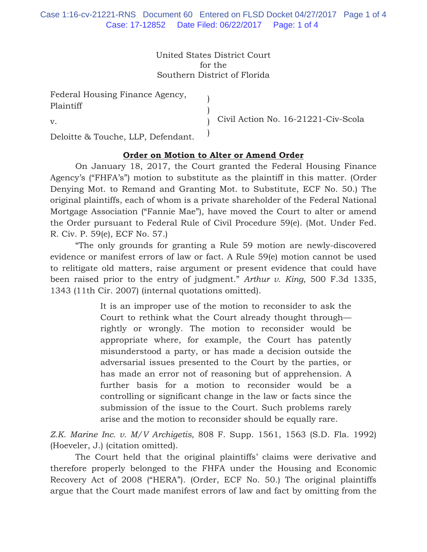United States District Court for the Southern District of Florida

> ) )  $\lambda$ )

Federal Housing Finance Agency, Plaintiff

v.

Civil Action No. 16-21221-Civ-Scola

Deloitte & Touche, LLP, Defendant.

# **Order on Motion to Alter or Amend Order**

On January 18, 2017, the Court granted the Federal Housing Finance Agency's ("FHFA's") motion to substitute as the plaintiff in this matter. (Order Denying Mot. to Remand and Granting Mot. to Substitute, ECF No. 50.) The original plaintiffs, each of whom is a private shareholder of the Federal National Mortgage Association ("Fannie Mae"), have moved the Court to alter or amend the Order pursuant to Federal Rule of Civil Procedure 59(e). (Mot. Under Fed. R. Civ. P. 59(e), ECF No. 57.)

"The only grounds for granting a Rule 59 motion are newly-discovered evidence or manifest errors of law or fact. A Rule 59(e) motion cannot be used to relitigate old matters, raise argument or present evidence that could have been raised prior to the entry of judgment." *Arthur v. King*, 500 F.3d 1335, 1343 (11th Cir. 2007) (internal quotations omitted).

> It is an improper use of the motion to reconsider to ask the Court to rethink what the Court already thought through rightly or wrongly. The motion to reconsider would be appropriate where, for example, the Court has patently misunderstood a party, or has made a decision outside the adversarial issues presented to the Court by the parties, or has made an error not of reasoning but of apprehension. A further basis for a motion to reconsider would be a controlling or significant change in the law or facts since the submission of the issue to the Court. Such problems rarely arise and the motion to reconsider should be equally rare.

*Z.K. Marine Inc. v. M/V Archigetis*, 808 F. Supp. 1561, 1563 (S.D. Fla. 1992) (Hoeveler, J.) (citation omitted).

The Court held that the original plaintiffs' claims were derivative and therefore properly belonged to the FHFA under the Housing and Economic Recovery Act of 2008 ("HERA"). (Order, ECF No. 50.) The original plaintiffs argue that the Court made manifest errors of law and fact by omitting from the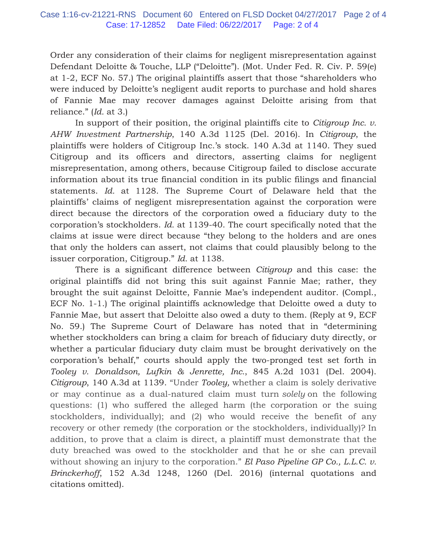Order any consideration of their claims for negligent misrepresentation against Defendant Deloitte & Touche, LLP ("Deloitte"). (Mot. Under Fed. R. Civ. P. 59(e) at 1-2, ECF No. 57.) The original plaintiffs assert that those "shareholders who were induced by Deloitte's negligent audit reports to purchase and hold shares of Fannie Mae may recover damages against Deloitte arising from that reliance." (*Id.* at 3.)

In support of their position, the original plaintiffs cite to *Citigroup Inc. v. AHW Investment Partnership*, 140 A.3d 1125 (Del. 2016). In *Citigroup*, the plaintiffs were holders of Citigroup Inc.'s stock. 140 A.3d at 1140. They sued Citigroup and its officers and directors, asserting claims for negligent misrepresentation, among others, because Citigroup failed to disclose accurate information about its true financial condition in its public filings and financial statements. *Id.* at 1128. The Supreme Court of Delaware held that the plaintiffs' claims of negligent misrepresentation against the corporation were direct because the directors of the corporation owed a fiduciary duty to the corporation's stockholders. *Id.* at 1139-40. The court specifically noted that the claims at issue were direct because "they belong to the holders and are ones that only the holders can assert, not claims that could plausibly belong to the issuer corporation, Citigroup." *Id.* at 1138.

There is a significant difference between *Citigroup* and this case: the original plaintiffs did not bring this suit against Fannie Mae; rather, they brought the suit against Deloitte, Fannie Mae's independent auditor. (Compl., ECF No. 1-1.) The original plaintiffs acknowledge that Deloitte owed a duty to Fannie Mae, but assert that Deloitte also owed a duty to them. (Reply at 9, ECF No. 59.) The Supreme Court of Delaware has noted that in "determining whether stockholders can bring a claim for breach of fiduciary duty directly, or whether a particular fiduciary duty claim must be brought derivatively on the corporation's behalf," courts should apply the two-pronged test set forth in *Tooley v. Donaldson, Lufkin & Jenrette, Inc.*, 845 A.2d 1031 (Del. 2004). *Citigroup*, 140 A.3d at 1139. "Under *Tooley,* whether a claim is solely derivative or may continue as a dual-natured claim must turn *solely* on the following questions: (1) who suffered the alleged harm (the corporation or the suing stockholders, individually); and (2) who would receive the benefit of any recovery or other remedy (the corporation or the stockholders, individually)? In addition, to prove that a claim is direct, a plaintiff must demonstrate that the duty breached was owed to the stockholder and that he or she can prevail without showing an injury to the corporation." *El Paso Pipeline GP Co., L.L.C. v. Brinckerhoff*, 152 A.3d 1248, 1260 (Del. 2016) (internal quotations and citations omitted).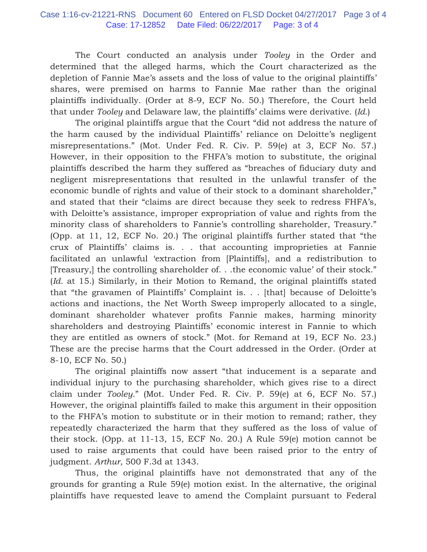The Court conducted an analysis under *Tooley* in the Order and determined that the alleged harms, which the Court characterized as the depletion of Fannie Mae's assets and the loss of value to the original plaintiffs' shares, were premised on harms to Fannie Mae rather than the original plaintiffs individually. (Order at 8-9, ECF No. 50.) Therefore, the Court held that under *Tooley* and Delaware law*,* the plaintiffs' claims were derivative. (*Id.*)

The original plaintiffs argue that the Court "did not address the nature of the harm caused by the individual Plaintiffs' reliance on Deloitte's negligent misrepresentations." (Mot. Under Fed. R. Civ. P. 59(e) at 3, ECF No. 57.) However, in their opposition to the FHFA's motion to substitute, the original plaintiffs described the harm they suffered as "breaches of fiduciary duty and negligent misrepresentations that resulted in the unlawful transfer of the economic bundle of rights and value of their stock to a dominant shareholder," and stated that their "claims are direct because they seek to redress FHFA's, with Deloitte's assistance, improper expropriation of value and rights from the minority class of shareholders to Fannie's controlling shareholder, Treasury." (Opp. at 11, 12, ECF No. 20.) The original plaintiffs further stated that "the crux of Plaintiffs' claims is. . . that accounting improprieties at Fannie facilitated an unlawful 'extraction from [Plaintiffs], and a redistribution to [Treasury,] the controlling shareholder of. . .the economic value' of their stock." (*Id.* at 15.) Similarly, in their Motion to Remand, the original plaintiffs stated that "the gravamen of Plaintiffs' Complaint is. . . [that] because of Deloitte's actions and inactions, the Net Worth Sweep improperly allocated to a single, dominant shareholder whatever profits Fannie makes, harming minority shareholders and destroying Plaintiffs' economic interest in Fannie to which they are entitled as owners of stock." (Mot. for Remand at 19, ECF No. 23.) These are the precise harms that the Court addressed in the Order. (Order at 8-10, ECF No. 50.)

The original plaintiffs now assert "that inducement is a separate and individual injury to the purchasing shareholder, which gives rise to a direct claim under *Tooley*." (Mot. Under Fed. R. Civ. P. 59(e) at 6, ECF No. 57.) However, the original plaintiffs failed to make this argument in their opposition to the FHFA's motion to substitute or in their motion to remand; rather, they repeatedly characterized the harm that they suffered as the loss of value of their stock. (Opp. at 11-13, 15, ECF No. 20.) A Rule 59(e) motion cannot be used to raise arguments that could have been raised prior to the entry of judgment. *Arthur*, 500 F.3d at 1343.

Thus, the original plaintiffs have not demonstrated that any of the grounds for granting a Rule 59(e) motion exist. In the alternative, the original plaintiffs have requested leave to amend the Complaint pursuant to Federal